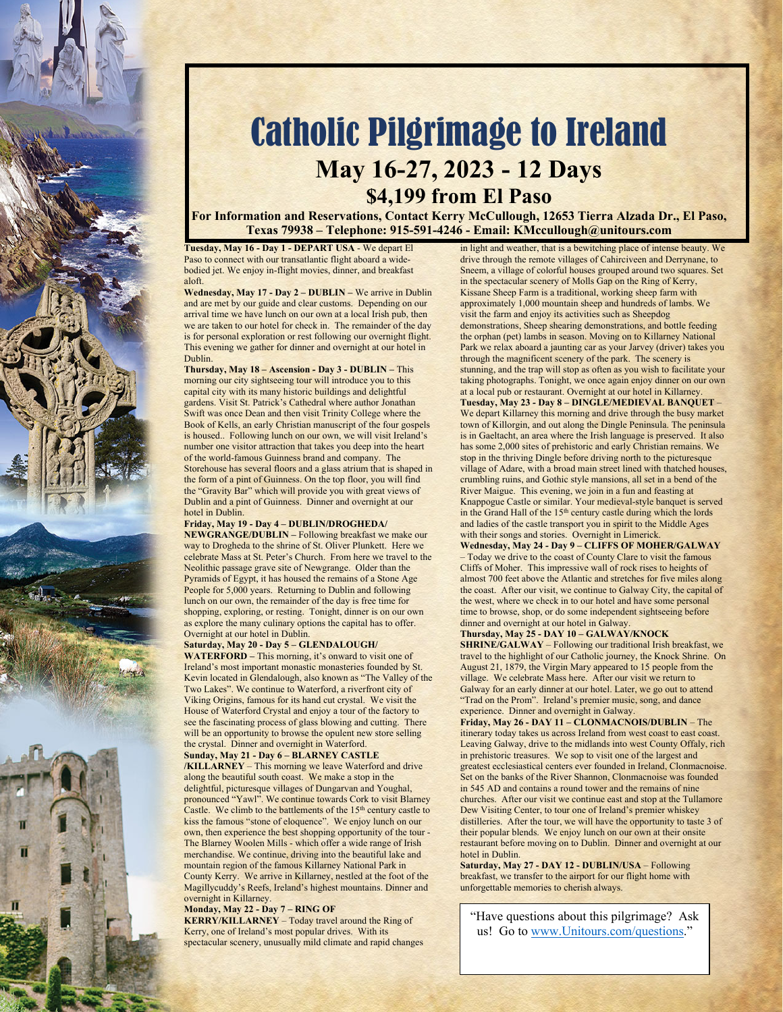

# Catholic Pilgrimage to Ireland **May 16-27, 2023 - 12 Days**

## **\$4,199 from El Paso**

**For Information and Reservations, Contact Kerry McCullough, 12653 Tierra Alzada Dr., El Paso, Texas 79938 – Telephone: 915-591-4246 - Email: KMccullough@unitours.com** 

**Tuesday, May 16 - Day 1 - DEPART USA** - We depart El Paso to connect with our transatlantic flight aboard a widebodied jet. We enjoy in-flight movies, dinner, and breakfast aloft.

**Wednesday, May 17 - Day 2 – DUBLIN –** We arrive in Dublin and are met by our guide and clear customs. Depending on our arrival time we have lunch on our own at a local Irish pub, then we are taken to our hotel for check in. The remainder of the day is for personal exploration or rest following our overnight flight. This evening we gather for dinner and overnight at our hotel in Dublin.

**Thursday, May 18 – Ascension - Day 3 - DUBLIN –** This morning our city sightseeing tour will introduce you to this capital city with its many historic buildings and delightful gardens. Visit St. Patrick's Cathedral where author Jonathan Swift was once Dean and then visit Trinity College where the Book of Kells, an early Christian manuscript of the four gospels is housed.. Following lunch on our own, we will visit Ireland's number one visitor attraction that takes you deep into the heart of the world-famous Guinness brand and company. The Storehouse has several floors and a glass atrium that is shaped in the form of a pint of Guinness. On the top floor, you will find the "Gravity Bar" which will provide you with great views of Dublin and a pint of Guinness. Dinner and overnight at our hotel in Dublin.

### **Friday, May 19 - Day 4 – DUBLIN/DROGHEDA/**

**NEWGRANGE/DUBLIN –** Following breakfast we make our way to Drogheda to the shrine of St. Oliver Plunkett. Here we celebrate Mass at St. Peter's Church. From here we travel to the Neolithic passage grave site of Newgrange. Older than the Pyramids of Egypt, it has housed the remains of a Stone Age People for 5,000 years. Returning to Dublin and following lunch on our own, the remainder of the day is free time for shopping, exploring, or resting. Tonight, dinner is on our own as explore the many culinary options the capital has to offer. Overnight at our hotel in Dublin.

#### **Saturday, May 20 - Day 5 – GLENDALOUGH/**

**WATERFORD –** This morning, it's onward to visit one of Ireland's most important monastic monasteries founded by St. Kevin located in Glendalough, also known as "The Valley of the Two Lakes". We continue to Waterford, a riverfront city of Viking Origins, famous for its hand cut crystal. We visit the House of Waterford Crystal and enjoy a tour of the factory to see the fascinating process of glass blowing and cutting. There will be an opportunity to browse the opulent new store selling the crystal. Dinner and overnight in Waterford. **Sunday, May 21 - Day 6 – BLARNEY CASTLE** 

**/KILLARNEY** – This morning we leave Waterford and drive along the beautiful south coast. We make a stop in the delightful, picturesque villages of Dungarvan and Youghal, pronounced "Yawl". We continue towards Cork to visit Blarney Castle. We climb to the battlements of the 15<sup>th</sup> century castle to kiss the famous "stone of eloquence". We enjoy lunch on our own, then experience the best shopping opportunity of the tour - The Blarney Woolen Mills - which offer a wide range of Irish merchandise. We continue, driving into the beautiful lake and mountain region of the famous Killarney National Park in County Kerry. We arrive in Killarney, nestled at the foot of the Magillycuddy's Reefs, Ireland's highest mountains. Dinner and overnight in Killarney.

#### **Monday, May 22 - Day 7 – RING OF**

**KERRY/KILLARNEY** – Today travel around the Ring of Kerry, one of Ireland's most popular drives. With its spectacular scenery, unusually mild climate and rapid changes in light and weather, that is a bewitching place of intense beauty. We drive through the remote villages of Cahirciveen and Derrynane, to Sneem, a village of colorful houses grouped around two squares. Set in the spectacular scenery of Molls Gap on the Ring of Kerry, Kissane Sheep Farm is a traditional, working sheep farm with approximately 1,000 mountain sheep and hundreds of lambs. We visit the farm and enjoy its activities such as Sheepdog demonstrations, Sheep shearing demonstrations, and bottle feeding the orphan (pet) lambs in season. Moving on to Killarney National Park we relax aboard a jaunting car as your Jarvey (driver) takes you through the magnificent scenery of the park. The scenery is stunning, and the trap will stop as often as you wish to facilitate your taking photographs. Tonight, we once again enjoy dinner on our own at a local pub or restaurant. Overnight at our hotel in Killarney. **Tuesday, May 23 - Day 8 – DINGLE/MEDIEVAL BANQUET** – We depart Killarney this morning and drive through the busy market town of Killorgin, and out along the Dingle Peninsula. The peninsula is in Gaeltacht, an area where the Irish language is preserved. It also has some 2,000 sites of prehistoric and early Christian remains. We stop in the thriving Dingle before driving north to the picturesque village of Adare, with a broad main street lined with thatched houses, crumbling ruins, and Gothic style mansions, all set in a bend of the River Maigue. This evening, we join in a fun and feasting at Knappogue Castle or similar. Your medieval-style banquet is served in the Grand Hall of the 15<sup>th</sup> century castle during which the lords and ladies of the castle transport you in spirit to the Middle Ages with their songs and stories. Overnight in Limerick.

**Wednesday, May 24 - Day 9 – CLIFFS OF MOHER/GALWAY** – Today we drive to the coast of County Clare to visit the famous Cliffs of Moher. This impressive wall of rock rises to heights of almost 700 feet above the Atlantic and stretches for five miles along the coast. After our visit, we continue to Galway City, the capital of the west, where we check in to our hotel and have some personal time to browse, shop, or do some independent sightseeing before dinner and overnight at our hotel in Galway.

#### **Thursday, May 25 - DAY 10 – GALWAY/KNOCK**

**SHRINE/GALWAY** – Following our traditional Irish breakfast, we travel to the highlight of our Catholic journey, the Knock Shrine. On August 21, 1879, the Virgin Mary appeared to 15 people from the village. We celebrate Mass here. After our visit we return to Galway for an early dinner at our hotel. Later, we go out to attend "Trad on the Prom". Ireland's premier music, song, and dance experience. Dinner and overnight in Galway.

**Friday, May 26 - DAY 11 – CLONMACNOIS/DUBLIN** – The itinerary today takes us across Ireland from west coast to east coast. Leaving Galway, drive to the midlands into west County Offaly, rich in prehistoric treasures. We sop to visit one of the largest and greatest ecclesiastical centers ever founded in Ireland, Clonmacnoise. Set on the banks of the River Shannon, Clonmacnoise was founded in 545 AD and contains a round tower and the remains of nine churches. After our visit we continue east and stop at the Tullamore Dew Visiting Center, to tour one of Ireland's premier whiskey distilleries. After the tour, we will have the opportunity to taste 3 of their popular blends. We enjoy lunch on our own at their onsite restaurant before moving on to Dublin. Dinner and overnight at our hotel in Dublin.

**Saturday, May 27 - DAY 12 - DUBLIN/USA** – Following breakfast, we transfer to the airport for our flight home with unforgettable memories to cherish always.

"Have questions about this pilgrimage? Ask us! Go to www.Unitours.com/questions."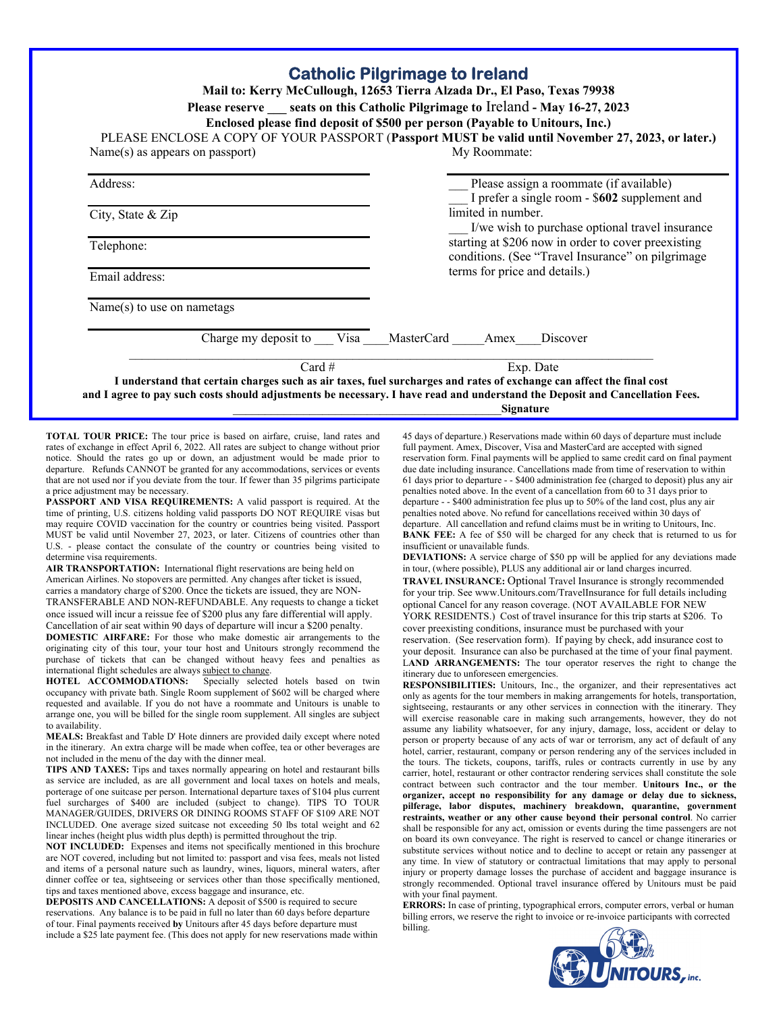| <b>Catholic Pilgrimage to Ireland</b><br>Mail to: Kerry McCullough, 12653 Tierra Alzada Dr., El Paso, Texas 79938<br>Please reserve seats on this Catholic Pilgrimage to Ireland - May 16-27, 2023<br>Enclosed please find deposit of \$500 per person (Payable to Unitours, Inc.)<br>PLEASE ENCLOSE A COPY OF YOUR PASSPORT (Passport MUST be valid until November 27, 2023, or later.) |                                                                                                                                   |
|------------------------------------------------------------------------------------------------------------------------------------------------------------------------------------------------------------------------------------------------------------------------------------------------------------------------------------------------------------------------------------------|-----------------------------------------------------------------------------------------------------------------------------------|
| $Name(s)$ as appears on passport)                                                                                                                                                                                                                                                                                                                                                        | My Roommate:                                                                                                                      |
| Address:                                                                                                                                                                                                                                                                                                                                                                                 | Please assign a roommate (if available)<br>I prefer a single room - \$602 supplement and                                          |
| City, State & Zip                                                                                                                                                                                                                                                                                                                                                                        | limited in number.<br>I/we wish to purchase optional travel insurance                                                             |
| Telephone:                                                                                                                                                                                                                                                                                                                                                                               | starting at \$206 now in order to cover preexisting<br>conditions. (See "Travel Insurance" on pilgrimage                          |
| Email address:                                                                                                                                                                                                                                                                                                                                                                           | terms for price and details.)                                                                                                     |
| $Name(s)$ to use on nametags                                                                                                                                                                                                                                                                                                                                                             |                                                                                                                                   |
| Charge my deposit to Visa MasterCard Amex                                                                                                                                                                                                                                                                                                                                                | Discover                                                                                                                          |
| Card $#$                                                                                                                                                                                                                                                                                                                                                                                 | Exp. Date<br>I understand that certain charges such as air taxes, fuel surcharges and rates of exchange can affect the final cost |

\_\_\_\_\_\_\_\_\_\_\_\_\_\_\_\_\_\_\_\_\_\_\_\_\_\_\_\_\_\_\_\_\_\_\_\_\_\_\_\_\_\_**Signature**

**TOTAL TOUR PRICE:** The tour price is based on airfare, cruise, land rates and rates of exchange in effect April 6, 2022. All rates are subject to change without prior notice. Should the rates go up or down, an adjustment would be made prior to departure. Refunds CANNOT be granted for any accommodations, services or events that are not used nor if you deviate from the tour. If fewer than 35 pilgrims participate a price adjustment may be necessary.

**PASSPORT AND VISA REQUIREMENTS:** A valid passport is required. At the time of printing, U.S. citizens holding valid passports DO NOT REQUIRE visas but may require COVID vaccination for the country or countries being visited. Passport MUST be valid until November 27, 2023, or later. Citizens of countries other than U.S. - please contact the consulate of the country or countries being visited to determine visa requirements.

AIR TRANSPORTATION: International flight reservations are being held on American Airlines. No stopovers are permitted. Any changes after ticket is issued, carries a mandatory charge of \$200. Once the tickets are issued, they are NON-TRANSFERABLE AND NON-REFUNDABLE. Any requests to change a ticket once issued will incur a reissue fee of \$200 plus any fare differential will apply. Cancellation of air seat within 90 days of departure will incur a \$200 penalty.

**DOMESTIC AIRFARE:** For those who make domestic air arrangements to the originating city of this tour, your tour host and Unitours strongly recommend the purchase of tickets that can be changed without heavy fees and penalties as international flight schedules are always subject to change.

**HOTEL ACCOMMODATIONS:** Specially selected hotels based on twin occupancy with private bath. Single Room supplement of \$602 will be charged where requested and available. If you do not have a roommate and Unitours is unable to arrange one, you will be billed for the single room supplement. All singles are subject to availability.

**MEALS:** Breakfast and Table D' Hote dinners are provided daily except where noted in the itinerary. An extra charge will be made when coffee, tea or other beverages are not included in the menu of the day with the dinner meal.

**TIPS AND TAXES:** Tips and taxes normally appearing on hotel and restaurant bills as service are included, as are all government and local taxes on hotels and meals, porterage of one suitcase per person. International departure taxes of \$104 plus current fuel surcharges of \$400 are included (subject to change). TIPS TO TOUR MANAGER/GUIDES, DRIVERS OR DINING ROOMS STAFF OF \$109 ARE NOT INCLUDED. One average sized suitcase not exceeding 50 lbs total weight and 62 linear inches (height plus width plus depth) is permitted throughout the trip.

**NOT INCLUDED:** Expenses and items not specifically mentioned in this brochure are NOT covered, including but not limited to: passport and visa fees, meals not listed and items of a personal nature such as laundry, wines, liquors, mineral waters, after dinner coffee or tea, sightseeing or services other than those specifically mentioned, tips and taxes mentioned above, excess baggage and insurance, etc.

**DEPOSITS AND CANCELLATIONS:** A deposit of \$500 is required to secure reservations. Any balance is to be paid in full no later than 60 days before departure of tour. Final payments received **by** Unitours after 45 days before departure must include a \$25 late payment fee. (This does not apply for new reservations made within 45 days of departure.) Reservations made within 60 days of departure must include full payment. Amex, Discover, Visa and MasterCard are accepted with signed reservation form. Final payments will be applied to same credit card on final payment due date including insurance. Cancellations made from time of reservation to within 61 days prior to departure - - \$400 administration fee (charged to deposit) plus any air penalties noted above. In the event of a cancellation from 60 to 31 days prior to departure - - \$400 administration fee plus up to 50% of the land cost, plus any air penalties noted above. No refund for cancellations received within 30 days of departure. All cancellation and refund claims must be in writing to Unitours, Inc. **BANK FEE:** A fee of \$50 will be charged for any check that is returned to us for insufficient or unavailable funds.

**DEVIATIONS:** A service charge of \$50 pp will be applied for any deviations made in tour, (where possible), PLUS any additional air or land charges incurred.

**TRAVEL INSURANCE:** Optional Travel Insurance is strongly recommended for your trip. See www.Unitours.com/TravelInsurance for full details including optional Cancel for any reason coverage. (NOT AVAILABLE FOR NEW YORK RESIDENTS.) Cost of travel insurance for this trip starts at \$206. To

cover preexisting conditions, insurance must be purchased with your

reservation. (See reservation form). If paying by check, add insurance cost to your deposit. Insurance can also be purchased at the time of your final payment. L**AND ARRANGEMENTS:** The tour operator reserves the right to change the itinerary due to unforeseen emergencies.

**RESPONSIBILITIES:** Unitours, Inc., the organizer, and their representatives act only as agents for the tour members in making arrangements for hotels, transportation, sightseeing, restaurants or any other services in connection with the itinerary. They will exercise reasonable care in making such arrangements, however, they do not assume any liability whatsoever, for any injury, damage, loss, accident or delay to person or property because of any acts of war or terrorism, any act of default of any hotel, carrier, restaurant, company or person rendering any of the services included in the tours. The tickets, coupons, tariffs, rules or contracts currently in use by any carrier, hotel, restaurant or other contractor rendering services shall constitute the sole contract between such contractor and the tour member. **Unitours Inc., or the organizer, accept no responsibility for any damage or delay due to sickness, pilferage, labor disputes, machinery breakdown, quarantine, government restraints, weather or any other cause beyond their personal control**. No carrier shall be responsible for any act, omission or events during the time passengers are not on board its own conveyance. The right is reserved to cancel or change itineraries or substitute services without notice and to decline to accept or retain any passenger at any time. In view of statutory or contractual limitations that may apply to personal injury or property damage losses the purchase of accident and baggage insurance is strongly recommended. Optional travel insurance offered by Unitours must be paid with your final payment.

**ERRORS:** In case of printing, typographical errors, computer errors, verbal or human billing errors, we reserve the right to invoice or re-invoice participants with corrected billing.